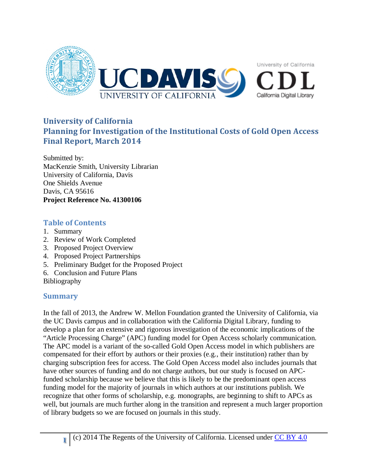

# **University of California Planning for Investigation of the Institutional Costs of Gold Open Access Final Report, March 2014**

Submitted by: MacKenzie Smith, University Librarian University of California, Davis One Shields Avenue Davis, CA 95616 **Project Reference No. 41300106**

# **Table of Contents**

- 1. Summary
- 2. Review of Work Completed
- 3. Proposed Project Overview
- 4. Proposed Project Partnerships
- 5. Preliminary Budget for the Proposed Project
- 6. Conclusion and Future Plans

Bibliography

## **Summary**

In the fall of 2013, the Andrew W. Mellon Foundation granted the University of California, via the UC Davis campus and in collaboration with the California Digital Library, funding to develop a plan for an extensive and rigorous investigation of the economic implications of the "Article Processing Charge" (APC) funding model for Open Access scholarly communication. The APC model is a variant of the so-called Gold Open Access model in which publishers are compensated for their effort by authors or their proxies (e.g., their institution) rather than by charging subscription fees for access. The Gold Open Access model also includes journals that have other sources of funding and do not charge authors, but our study is focused on APCfunded scholarship because we believe that this is likely to be the predominant open access funding model for the majority of journals in which authors at our institutions publish. We recognize that other forms of scholarship, e.g. monographs, are beginning to shift to APCs as well, but journals are much further along in the transition and represent a much larger proportion of library budgets so we are focused on journals in this study.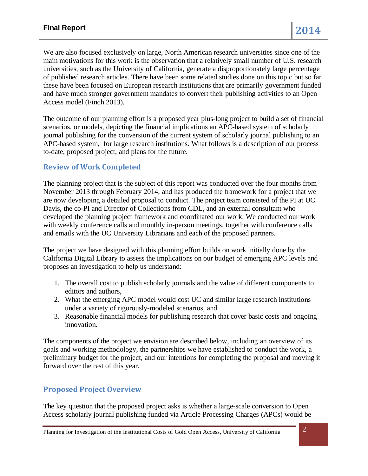We are also focused exclusively on large, North American research universities since one of the main motivations for this work is the observation that a relatively small number of U.S. research universities, such as the University of California, generate a disproportionately large percentage of published research articles. There have been some related studies done on this topic but so far these have been focused on European research institutions that are primarily government funded and have much stronger government mandates to convert their publishing activities to an Open Access model (Finch 2013).

The outcome of our planning effort is a proposed year plus-long project to build a set of financial scenarios, or models, depicting the financial implications an APC-based system of scholarly journal publishing for the conversion of the current system of scholarly journal publishing to an APC-based system, for large research institutions. What follows is a description of our process to-date, proposed project, and plans for the future.

### **Review of Work Completed**

The planning project that is the subject of this report was conducted over the four months from November 2013 through February 2014, and has produced the framework for a project that we are now developing a detailed proposal to conduct. The project team consisted of the PI at UC Davis, the co-PI and Director of Collections from CDL, and an external consultant who developed the planning project framework and coordinated our work. We conducted our work with weekly conference calls and monthly in-person meetings, together with conference calls and emails with the UC University Librarians and each of the proposed partners.

The project we have designed with this planning effort builds on work initially done by the California Digital Library to assess the implications on our budget of emerging APC levels and proposes an investigation to help us understand:

- 1. The overall cost to publish scholarly journals and the value of different components to editors and authors,
- 2. What the emerging APC model would cost UC and similar large research institutions under a variety of rigorously-modeled scenarios, and
- 3. Reasonable financial models for publishing research that cover basic costs and ongoing innovation.

The components of the project we envision are described below, including an overview of its goals and working methodology, the partnerships we have established to conduct the work, a preliminary budget for the project, and our intentions for completing the proposal and moving it forward over the rest of this year.

### **Proposed Project Overview**

The key question that the proposed project asks is whether a large-scale conversion to Open Access scholarly journal publishing funded via Article Processing Charges (APCs) would be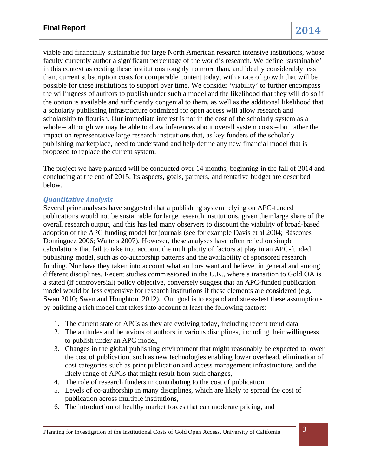viable and financially sustainable for large North American research intensive institutions, whose faculty currently author a significant percentage of the world's research. We define 'sustainable' in this context as costing these institutions roughly no more than, and ideally considerably less than, current subscription costs for comparable content today, with a rate of growth that will be possible for these institutions to support over time. We consider 'viability' to further encompass the willingness of authors to publish under such a model and the likelihood that they will do so if the option is available and sufficiently congenial to them, as well as the additional likelihood that a scholarly publishing infrastructure optimized for open access will allow research and scholarship to flourish. Our immediate interest is not in the cost of the scholarly system as a whole – although we may be able to draw inferences about overall system costs – but rather the impact on representative large research institutions that, as key funders of the scholarly publishing marketplace, need to understand and help define any new financial model that is proposed to replace the current system.

The project we have planned will be conducted over 14 months, beginning in the fall of 2014 and concluding at the end of 2015. Its aspects, goals, partners, and tentative budget are described below.

### *Quantitative Analysis*

Several prior analyses have suggested that a publishing system relying on APC-funded publications would not be sustainable for large research institutions, given their large share of the overall research output, and this has led many observers to discount the viability of broad-based adoption of the APC funding model for journals (see for example Davis et al 2004; Báscones Dominguez 2006; Walters 2007). However, these analyses have often relied on simple calculations that fail to take into account the multiplicity of factors at play in an APC-funded publishing model, such as co-authorship patterns and the availability of sponsored research funding. Nor have they taken into account what authors want and believe, in general and among different disciplines. Recent studies commissioned in the U.K., where a transition to Gold OA is a stated (if controversial) policy objective, conversely suggest that an APC-funded publication model would be less expensive for research institutions if these elements are considered (e.g. Swan 2010; Swan and Houghton, 2012). Our goal is to expand and stress-test these assumptions by building a rich model that takes into account at least the following factors:

- 1. The current state of APCs as they are evolving today, including recent trend data,
- 2. The attitudes and behaviors of authors in various disciplines, including their willingness to publish under an APC model,
- 3. Changes in the global publishing environment that might reasonably be expected to lower the cost of publication, such as new technologies enabling lower overhead, elimination of cost categories such as print publication and access management infrastructure, and the likely range of APCs that might result from such changes,
- 4. The role of research funders in contributing to the cost of publication
- 5. Levels of co-authorship in many disciplines, which are likely to spread the cost of publication across multiple institutions,
- 6. The introduction of healthy market forces that can moderate pricing, and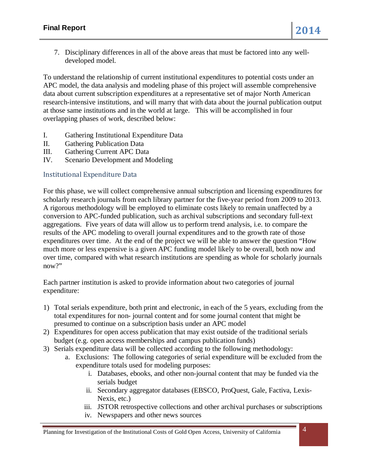7. Disciplinary differences in all of the above areas that must be factored into any welldeveloped model.

To understand the relationship of current institutional expenditures to potential costs under an APC model, the data analysis and modeling phase of this project will assemble comprehensive data about current subscription expenditures at a representative set of major North American research-intensive institutions, and will marry that with data about the journal publication output at those same institutions and in the world at large. This will be accomplished in four overlapping phases of work, described below:

- I. Gathering Institutional Expenditure Data
- II. Gathering Publication Data
- III. Gathering Current APC Data
- IV. Scenario Development and Modeling

### Institutional Expenditure Data

For this phase, we will collect comprehensive annual subscription and licensing expenditures for scholarly research journals from each library partner for the five-year period from 2009 to 2013. A rigorous methodology will be employed to eliminate costs likely to remain unaffected by a conversion to APC-funded publication, such as archival subscriptions and secondary full-text aggregations. Five years of data will allow us to perform trend analysis, i.e. to compare the results of the APC modeling to overall journal expenditures and to the growth rate of those expenditures over time. At the end of the project we will be able to answer the question "How much more or less expensive is a given APC funding model likely to be overall, both now and over time, compared with what research institutions are spending as whole for scholarly journals now?"

Each partner institution is asked to provide information about two categories of journal expenditure:

- 1) Total serials expenditure, both print and electronic, in each of the 5 years, excluding from the total expenditures for non- journal content and for some journal content that might be presumed to continue on a subscription basis under an APC model
- 2) Expenditures for open access publication that may exist outside of the traditional serials budget (e.g. open access memberships and campus publication funds)
- 3) Serials expenditure data will be collected according to the following methodology:
	- a. Exclusions: The following categories of serial expenditure will be excluded from the expenditure totals used for modeling purposes:
		- i. Databases, ebooks, and other non-journal content that may be funded via the serials budget
		- ii. Secondary aggregator databases (EBSCO, ProQuest, Gale, Factiva, Lexis-Nexis, etc.)
		- iii. JSTOR retrospective collections and other archival purchases or subscriptions
		- iv. Newspapers and other news sources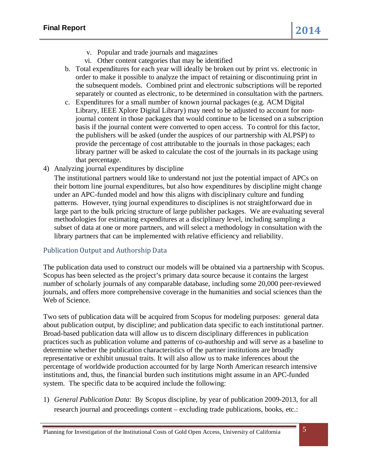- v. Popular and trade journals and magazines
- vi. Other content categories that may be identified
- b. Total expenditures for each year will ideally be broken out by print vs. electronic in order to make it possible to analyze the impact of retaining or discontinuing print in the subsequent models. Combined print and electronic subscriptions will be reported separately or counted as electronic, to be determined in consultation with the partners.
- c. Expenditures for a small number of known journal packages (e.g. ACM Digital Library, IEEE Xplore Digital Library) may need to be adjusted to account for nonjournal content in those packages that would continue to be licensed on a subscription basis if the journal content were converted to open access. To control for this factor, the publishers will be asked (under the auspices of our partnership with ALPSP) to provide the percentage of cost attributable to the journals in those packages; each library partner will be asked to calculate the cost of the journals in its package using that percentage.
- 4) Analyzing journal expenditures by discipline

The institutional partners would like to understand not just the potential impact of APCs on their bottom line journal expenditures, but also how expenditures by discipline might change under an APC-funded model and how this aligns with disciplinary culture and funding patterns. However, tying journal expenditures to disciplines is not straightforward due in large part to the bulk pricing structure of large publisher packages. We are evaluating several methodologies for estimating expenditures at a disciplinary level, including sampling a subset of data at one or more partners, and will select a methodology in consultation with the library partners that can be implemented with relative efficiency and reliability.

### Publication Output and Authorship Data

The publication data used to construct our models will be obtained via a partnership with Scopus. Scopus has been selected as the project's primary data source because it contains the largest number of scholarly journals of any comparable database, including some 20,000 peer-reviewed journals, and offers more comprehensive coverage in the humanities and social sciences than the Web of Science.

Two sets of publication data will be acquired from Scopus for modeling purposes: general data about publication output, by discipline; and publication data specific to each institutional partner. Broad-based publication data will allow us to discern disciplinary differences in publication practices such as publication volume and patterns of co-authorship and will serve as a baseline to determine whether the publication characteristics of the partner institutions are broadly representative or exhibit unusual traits. It will also allow us to make inferences about the percentage of worldwide production accounted for by large North American research intensive institutions and, thus, the financial burden such institutions might assume in an APC-funded system. The specific data to be acquired include the following:

1) *General Publication Data*: By Scopus discipline, by year of publication 2009-2013, for all research journal and proceedings content – excluding trade publications, books, etc.: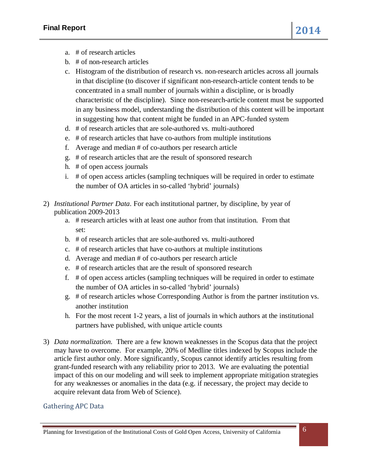- a. # of research articles
- b. # of non-research articles
- c. Histogram of the distribution of research vs. non-research articles across all journals in that discipline (to discover if significant non-research-article content tends to be concentrated in a small number of journals within a discipline, or is broadly characteristic of the discipline). Since non-research-article content must be supported in any business model, understanding the distribution of this content will be important in suggesting how that content might be funded in an APC-funded system
- d. # of research articles that are sole-authored vs. multi-authored
- e. # of research articles that have co-authors from multiple institutions
- f. Average and median # of co-authors per research article
- g. # of research articles that are the result of sponsored research
- h. # of open access journals
- i. # of open access articles (sampling techniques will be required in order to estimate the number of OA articles in so-called 'hybrid' journals)
- 2) *Institutional Partner Data*. For each institutional partner, by discipline, by year of publication 2009-2013
	- a. # research articles with at least one author from that institution. From that set:
	- b. # of research articles that are sole-authored vs. multi-authored
	- c. # of research articles that have co-authors at multiple institutions
	- d. Average and median # of co-authors per research article
	- e. # of research articles that are the result of sponsored research
	- f. # of open access articles (sampling techniques will be required in order to estimate the number of OA articles in so-called 'hybrid' journals)
	- g. # of research articles whose Corresponding Author is from the partner institution vs. another institution
	- h. For the most recent 1-2 years, a list of journals in which authors at the institutional partners have published, with unique article counts
- 3) *Data normalization.* There are a few known weaknesses in the Scopus data that the project may have to overcome. For example, 20% of Medline titles indexed by Scopus include the article first author only. More significantly, Scopus cannot identify articles resulting from grant-funded research with any reliability prior to 2013. We are evaluating the potential impact of this on our modeling and will seek to implement appropriate mitigation strategies for any weaknesses or anomalies in the data (e.g. if necessary, the project may decide to acquire relevant data from Web of Science).

### Gathering APC Data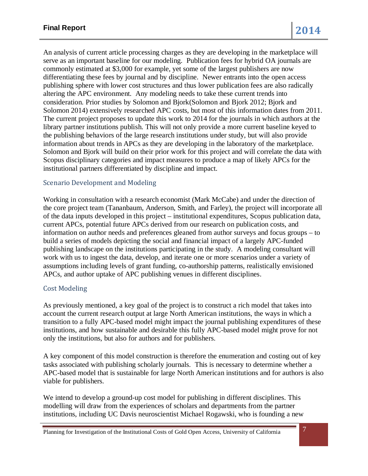An analysis of current article processing charges as they are developing in the marketplace will serve as an important baseline for our modeling. Publication fees for hybrid OA journals are commonly estimated at \$3,000 for example, yet some of the largest publishers are now differentiating these fees by journal and by discipline. Newer entrants into the open access publishing sphere with lower cost structures and thus lower publication fees are also radically altering the APC environment. Any modeling needs to take these current trends into consideration. Prior studies by Solomon and Bjork(Solomon and Bjork 2012; Bjork and Solomon 2014) extensively researched APC costs, but most of this information dates from 2011. The current project proposes to update this work to 2014 for the journals in which authors at the library partner institutions publish. This will not only provide a more current baseline keyed to the publishing behaviors of the large research institutions under study, but will also provide information about trends in APCs as they are developing in the laboratory of the marketplace. Solomon and Bjork will build on their prior work for this project and will correlate the data with Scopus disciplinary categories and impact measures to produce a map of likely APCs for the institutional partners differentiated by discipline and impact.

### Scenario Development and Modeling

Working in consultation with a research economist (Mark McCabe) and under the direction of the core project team (Tananbaum, Anderson, Smith, and Farley), the project will incorporate all of the data inputs developed in this project – institutional expenditures, Scopus publication data, current APCs, potential future APCs derived from our research on publication costs, and information on author needs and preferences gleaned from author surveys and focus groups – to build a series of models depicting the social and financial impact of a largely APC-funded publishing landscape on the institutions participating in the study. A modeling consultant will work with us to ingest the data, develop, and iterate one or more scenarios under a variety of assumptions including levels of grant funding, co-authorship patterns, realistically envisioned APCs, and author uptake of APC publishing venues in different disciplines.

### Cost Modeling

As previously mentioned, a key goal of the project is to construct a rich model that takes into account the current research output at large North American institutions, the ways in which a transition to a fully APC-based model might impact the journal publishing expenditures of these institutions, and how sustainable and desirable this fully APC-based model might prove for not only the institutions, but also for authors and for publishers.

A key component of this model construction is therefore the enumeration and costing out of key tasks associated with publishing scholarly journals. This is necessary to determine whether a APC-based model that is sustainable for large North American institutions and for authors is also viable for publishers.

We intend to develop a ground-up cost model for publishing in different disciplines. This modelling will draw from the experiences of scholars and departments from the partner institutions, including UC Davis neuroscientist Michael Rogawski, who is founding a new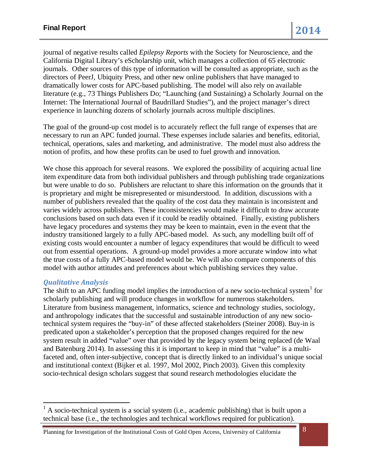journal of negative results called *Epilepsy Reports* with the Society for Neuroscience, and the California Digital Library's eScholarship unit, which manages a collection of 65 electronic journals. Other sources of this type of information will be consulted as appropriate, such as the directors of PeerJ, Ubiquity Press, and other new online publishers that have managed to dramatically lower costs for APC-based publishing. The model will also rely on available literature (e.g., 73 Things Publishers Do; ["Launching \(and Sustaining\) a Scholarly Journal on the](http://dx.doi.org/10.3998/3336451.0013.104)  [Internet: The International Journal of Baudrillard Studies"\)](http://dx.doi.org/10.3998/3336451.0013.104), and the project manager's direct experience in launching dozens of scholarly journals across multiple disciplines.

The goal of the ground-up cost model is to accurately reflect the full range of expenses that are necessary to run an APC funded journal. These expenses include salaries and benefits, editorial, technical, operations, sales and marketing, and administrative. The model must also address the notion of profits, and how these profits can be used to fuel growth and innovation.

We chose this approach for several reasons. We explored the possibility of acquiring actual line item expenditure data from both individual publishers and through publishing trade organizations but were unable to do so. Publishers are reluctant to share this information on the grounds that it is proprietary and might be misrepresented or misunderstood. In addition, discussions with a number of publishers revealed that the quality of the cost data they maintain is inconsistent and varies widely across publishers. These inconsistencies would make it difficult to draw accurate conclusions based on such data even if it could be readily obtained. Finally, existing publishers have legacy procedures and systems they may be keen to maintain, even in the event that the industry transitioned largely to a fully APC-based model. As such, any modelling built off of existing costs would encounter a number of legacy expenditures that would be difficult to weed out from essential operations. A ground-up model provides a more accurate window into what the true costs of a fully APC-based model would be. We will also compare components of this model with author attitudes and preferences about which publishing services they value.

### *Qualitative Analysis*

<u>.</u>

The shift to an APC funding model implies the introduction of a new socio-technical system $<sup>1</sup>$  $<sup>1</sup>$  $<sup>1</sup>$  for</sup> scholarly publishing and will produce changes in workflow for numerous stakeholders. Literature from business management, informatics, science and technology studies, sociology, and anthropology indicates that the successful and sustainable introduction of any new sociotechnical system requires the "buy-in" of these affected stakeholders (Steiner 2008). Buy-in is predicated upon a stakeholder's perception that the proposed changes required for the new system result in added "value" over that provided by the legacy system being replaced (de Waal and Batenburg 2014). In assessing this it is important to keep in mind that "value" is a multifaceted and, often inter-subjective, concept that is directly linked to an individual's unique social and institutional context (Bijker et al. 1997, Mol 2002, Pinch 2003). Given this complexity socio-technical design scholars suggest that sound research methodologies elucidate the

<span id="page-7-0"></span> $<sup>1</sup>$  A socio-technical system is a social system (i.e., academic publishing) that is built upon a</sup> technical base (i.e., the technologies and technical workflows required for publication).

Planning for Investigation of the Institutional Costs of Gold Open Access, University of California 8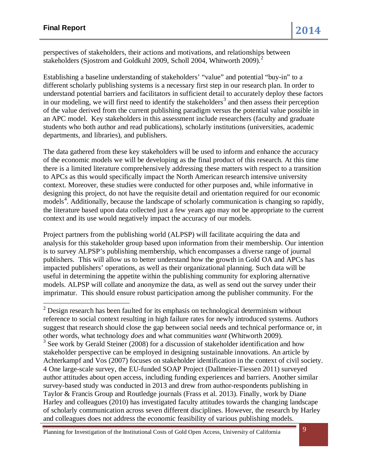<u>.</u>

perspectives of stakeholders, their actions and motivations, and relationships between stakeholders (Sjostrom and Goldkuhl [2](#page-8-0)009, Scholl 2004, Whitworth 2009).<sup>2</sup>

Establishing a baseline understanding of stakeholders' "value" and potential "buy-in" to a different scholarly publishing systems is a necessary first step in our research plan. In order to understand potential barriers and facilitators in sufficient detail to accurately deploy these factors in our modeling, we will first need to identify the stakeholders<sup>[3](#page-8-1)</sup> and then assess their perception of the value derived from the current publishing paradigm versus the potential value possible in an APC model. Key stakeholders in this assessment include researchers (faculty and graduate students who both author and read publications), scholarly institutions (universities, academic departments, and libraries), and publishers.

The data gathered from these key stakeholders will be used to inform and enhance the accuracy of the economic models we will be developing as the final product of this research. At this time there is a limited literature comprehensively addressing these matters with respect to a transition to APCs as this would specifically impact the North American research intensive university context. Moreover, these studies were conducted for other purposes and, while informative in designing this project, do not have the requisite detail and orientation required for our economic models<sup>[4](#page-8-2)</sup>. Additionally, because the landscape of scholarly communication is changing so rapidly, the literature based upon data collected just a few years ago may not be appropriate to the current context and its use would negatively impact the accuracy of our models.

Project partners from the publishing world (ALPSP) will facilitate acquiring the data and analysis for this stakeholder group based upon information from their membership. Our intention is to survey ALPSP's publishing membership, which encompasses a diverse range of journal publishers. This will allow us to better understand how the growth in Gold OA and APCs has impacted publishers' operations, as well as their organizational planning. Such data will be useful in determining the appetite within the publishing community for exploring alternative models. ALPSP will collate and anonymize the data, as well as send out the survey under their imprimatur. This should ensure robust participation among the publisher community. For the

<span id="page-8-2"></span><span id="page-8-1"></span><span id="page-8-0"></span> $2$  Design research has been faulted for its emphasis on technological determinism without reference to social context resulting in high failure rates for newly introduced systems. Authors suggest that research should close the gap between social needs and technical performance or, in other words, what technology *does* and what communities *want* (Whitworth 2009).  $3$  See work by Gerald Steiner (2008) for a discussion of stakeholder identification and how stakeholder perspective can be employed in designing sustainable innovations. An article by Achterkampf and Vos (2007) focuses on stakeholder identification in the context of civil society. 4 One large-scale survey, the EU-funded SOAP Project (Dallmeier-Tiessen 2011) surveyed author attitudes about open access, including funding experiences and barriers. Another similar survey-based study was conducted in 2013 and drew from author-respondents publishing in Taylor & Francis Group and Routledge journals (Frass et al. 2013). Finally, work by Diane Harley and colleagues (2010) has investigated faculty attitudes towards the changing landscape of scholarly communication across seven different disciplines. However, the research by Harley and colleagues does not address the economic feasibility of various publishing models.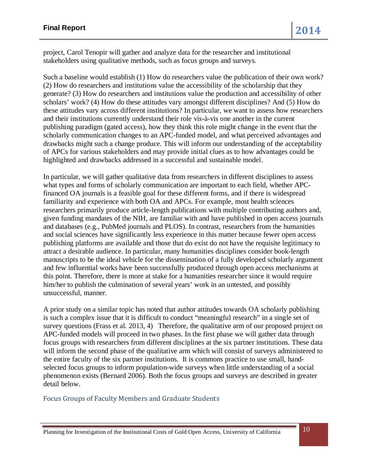project, Carol Tenopir will gather and analyze data for the researcher and institutional stakeholders using qualitative methods, such as focus groups and surveys.

Such a baseline would establish (1) How do researchers value the publication of their own work? (2) How do researchers and institutions value the accessibility of the scholarship that they generate? (3) How do researchers and institutions value the production and accessibility of other scholars' work? (4) How do these attitudes vary amongst different disciplines? And (5) How do these attitudes vary across different institutions? In particular, we want to assess how researchers and their institutions currently understand their role vis-à-vis one another in the current publishing paradigm (gated access), how they think this role might change in the event that the scholarly communication changes to an APC-funded model, and what perceived advantages and drawbacks might such a change produce. This will inform our understanding of the acceptability of APCs for various stakeholders and may provide initial clues as to how advantages could be highlighted and drawbacks addressed in a successful and sustainable model.

In particular, we will gather qualitative data from researchers in different disciplines to assess what types and forms of scholarly communication are important to each field, whether APCfinanced OA journals is a feasible goal for these different forms, and if there is widespread familiarity and experience with both OA and APCs. For example, most health sciences researchers primarily produce article-length publications with multiple contributing authors and, given funding mandates of the NIH, are familiar with and have published in open access journals and databases (e.g., PubMed journals and PLOS). In contrast, researchers from the humanities and social sciences have significantly less experience in this matter because fewer open access publishing platforms are available and those that do exist do not have the requisite legitimacy to attract a desirable audience. In particular, many humanities disciplines consider book-length manuscripts to be the ideal vehicle for the dissemination of a fully developed scholarly argument and few influential works have been successfully produced through open access mechanisms at this point. Therefore, there is more at stake for a humanities researcher since it would require him/her to publish the culmination of several years' work in an untested, and possibly unsuccessful, manner.

A prior study on a similar topic has noted that author attitudes towards OA scholarly publishing is such a complex issue that it is difficult to conduct "meaningful research" in a single set of survey questions (Frass et al. 2013, 4) Therefore, the qualitative arm of our proposed project on APC-funded models will proceed in two phases. In the first phase we will gather data through focus groups with researchers from different disciplines at the six partner institutions. These data will inform the second phase of the qualitative arm which will consist of surveys administered to the entire faculty of the six partner institutions. It is commons practice to use small, handselected focus groups to inform population-wide surveys when little understanding of a social phenomenon exists (Bernard 2006). Both the focus groups and surveys are described in greater detail below.

### Focus Groups of Faculty Members and Graduate Students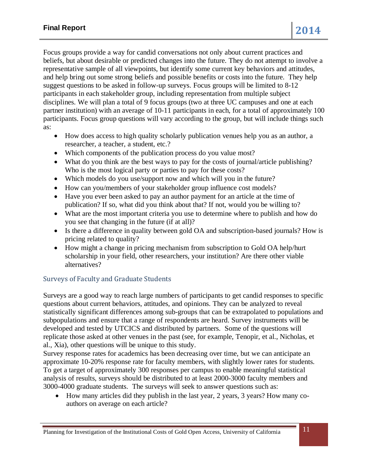Focus groups provide a way for candid conversations not only about current practices and beliefs, but about desirable or predicted changes into the future. They do not attempt to involve a representative sample of all viewpoints, but identify some current key behaviors and attitudes, and help bring out some strong beliefs and possible benefits or costs into the future. They help suggest questions to be asked in follow-up surveys. Focus groups will be limited to 8-12 participants in each stakeholder group, including representation from multiple subject disciplines. We will plan a total of 9 focus groups (two at three UC campuses and one at each partner institution) with an average of 10-11 participants in each, for a total of approximately 100 participants. Focus group questions will vary according to the group, but will include things such as:

- How does access to high quality scholarly publication venues help you as an author, a researcher, a teacher, a student, etc.?
- Which components of the publication process do you value most?
- What do you think are the best ways to pay for the costs of journal/article publishing? Who is the most logical party or parties to pay for these costs?
- Which models do you use/support now and which will you in the future?
- How can you/members of your stakeholder group influence cost models?
- Have you ever been asked to pay an author payment for an article at the time of publication? If so, what did you think about that? If not, would you be willing to?
- What are the most important criteria you use to determine where to publish and how do you see that changing in the future (if at all)?
- Is there a difference in quality between gold OA and subscription-based journals? How is pricing related to quality?
- How might a change in pricing mechanism from subscription to Gold OA help/hurt scholarship in your field, other researchers, your institution? Are there other viable alternatives?

### Surveys of Faculty and Graduate Students

Surveys are a good way to reach large numbers of participants to get candid responses to specific questions about current behaviors, attitudes, and opinions. They can be analyzed to reveal statistically significant differences among sub-groups that can be extrapolated to populations and subpopulations and ensure that a range of respondents are heard. Survey instruments will be developed and tested by UTCICS and distributed by partners. Some of the questions will replicate those asked at other venues in the past (see, for example, Tenopir, et al., Nicholas, et al., Xia), other questions will be unique to this study.

Survey response rates for academics has been decreasing over time, but we can anticipate an approximate 10-20% response rate for faculty members, with slightly lower rates for students. To get a target of approximately 300 responses per campus to enable meaningful statistical analysis of results, surveys should be distributed to at least 2000-3000 faculty members and 3000-4000 graduate students. The surveys will seek to answer questions such as:

• How many articles did they publish in the last year, 2 years, 3 years? How many coauthors on average on each article?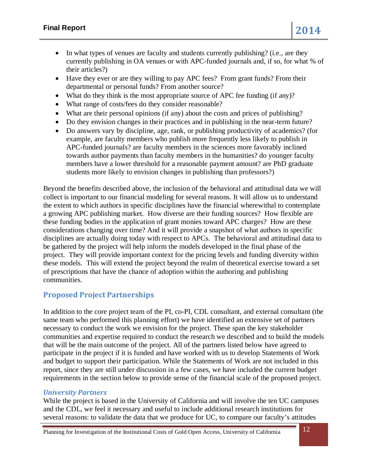- In what types of venues are faculty and students currently publishing? (i.e., are they currently publishing in OA venues or with APC-funded journals and, if so, for what % of their articles?)
- Have they ever or are they willing to pay APC fees? From grant funds? From their departmental or personal funds? From another source?
- What do they think is the most appropriate source of APC fee funding (if any)?
- What range of costs/fees do they consider reasonable?
- What are their personal opinions (if any) about the costs and prices of publishing?
- Do they envision changes in their practices and in publishing in the near-term future?
- Do answers vary by discipline, age, rank, or publishing productivity of academics? (for example, are faculty members who publish more frequently less likely to publish in APC-funded journals? are faculty members in the sciences more favorably inclined towards author payments than faculty members in the humanities? do younger faculty members have a lower threshold for a reasonable payment amount? are PhD graduate students more likely to envision changes in publishing than professors?)

Beyond the benefits described above, the inclusion of the behavioral and attitudinal data we will collect is important to our financial modeling for several reasons. It will allow us to understand the extent to which authors in specific disciplines have the financial wherewithal to contemplate a growing APC publishing market. How diverse are their funding sources? How flexible are these funding bodies in the application of grant monies toward APC charges? How are these considerations changing over time? And it will provide a snapshot of what authors in specific disciplines are actually doing today with respect to APCs. The behavioral and attitudinal data to be gathered by the project will help inform the models developed in the final phase of the project. They will provide important context for the pricing levels and funding diversity within these models. This will extend the project beyond the realm of theoretical exercise toward a set of prescriptions that have the chance of adoption within the authoring and publishing communities.

# **Proposed Project Partnerships**

In addition to the core project team of the PI, co-PI, CDL consultant, and external consultant (the same team who performed this planning effort) we have identified an extensive set of partners necessary to conduct the work we envision for the project. These span the key stakeholder communities and expertise required to conduct the research we described and to build the models that will be the main outcome of the project. All of the partners listed below have agreed to participate in the project if it is funded and have worked with us to develop Statements of Work and budget to support their participation. While the Statements of Work are not included in this report, since they are still under discussion in a few cases, we have included the current budget requirements in the section below to provide sense of the financial scale of the proposed project.

### *University Partners*

While the project is based in the University of California and will involve the ten UC campuses and the CDL, we feel it necessary and useful to include additional research institutions for several reasons: to validate the data that we produce for UC, to compare our faculty's attitudes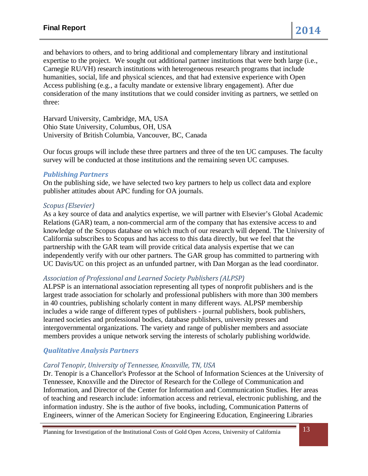and behaviors to others, and to bring additional and complementary library and institutional expertise to the project. We sought out additional partner institutions that were both large (i.e., Carnegie RU/VH) research institutions with heterogeneous research programs that include humanities, social, life and physical sciences, and that had extensive experience with Open Access publishing (e.g., a faculty mandate or extensive library engagement). After due consideration of the many institutions that we could consider inviting as partners, we settled on three:

Harvard University, Cambridge, MA, USA Ohio State University, Columbus, OH, USA University of British Columbia, Vancouver, BC, Canada

Our focus groups will include these three partners and three of the ten UC campuses. The faculty survey will be conducted at those institutions and the remaining seven UC campuses.

#### *Publishing Partners*

On the publishing side, we have selected two key partners to help us collect data and explore publisher attitudes about APC funding for OA journals.

#### *Scopus (Elsevier)*

As a key source of data and analytics expertise, we will partner with Elsevier's Global Academic Relations (GAR) team, a non-commercial arm of the company that has extensive access to and knowledge of the Scopus database on which much of our research will depend. The University of California subscribes to Scopus and has access to this data directly, but we feel that the partnership with the GAR team will provide critical data analysis expertise that we can independently verify with our other partners. The GAR group has committed to partnering with UC Davis/UC on this project as an unfunded partner, with Dan Morgan as the lead coordinator.

### *Association of Professional and Learned Society Publishers (ALPSP)*

ALPSP is an international association representing all types of nonprofit publishers and is the largest trade association for scholarly and professional publishers with more than 300 members in 40 countries, publishing scholarly content in many different ways. ALPSP membership includes a wide range of different types of publishers - journal publishers, book publishers, learned societies and professional bodies, database publishers, university presses and intergovernmental organizations. The variety and range of publisher members and associate members provides a unique network serving the interests of scholarly publishing worldwide.

### *Qualitative Analysis Partners*

#### *Carol Tenopir, University of Tennessee, Knoxville, TN, USA*

Dr. Tenopir is a Chancellor's Professor at the School of Information Sciences at the University of Tennessee, Knoxville and the Director of Research for the College of Communication and Information, and Director of the Center for Information and Communication Studies. Her areas of teaching and research include: information access and retrieval, electronic publishing, and the information industry. She is the author of five books, including, Communication Patterns of Engineers, winner of the American Society for Engineering Education, Engineering Libraries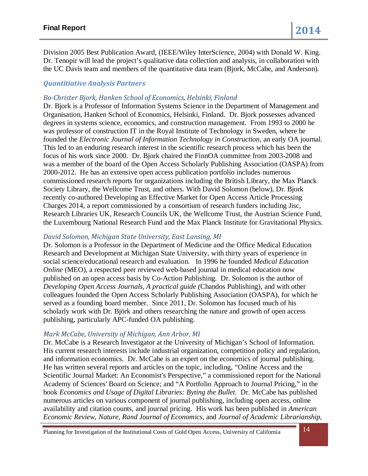Division 2005 Best Publication Award, (IEEE/Wiley InterScience, 2004) with Donald W. King. Dr. Tenopir will lead the project's qualitative data collection and analysis, in collaboration with the UC Davis team and members of the quantitative data team (Bjork, McCabe, and Anderson).

### *Quantitiative Analysis Partners*

### *Bo-Christer Bjork, Hanken School of Economics, Helsinki, Finland*

Dr. Bjork is a Professor of Information Systems Science in the Department of Management and Organisation, Hanken School of Economics, Helsinki, Finland. Dr. Bjork possesses advanced degrees in systems science, economics, and construction management. From 1993 to 2000 he was professor of construction IT in the Royal Institute of Technology in Sweden, where he founded the *Electronic Journal of Information Technology in Construction*, an early OA journal. This led to an enduring research interest in the scientific research process which has been the focus of his work since 2000. Dr. Bjork chaired the FinnOA committee from 2003-2008 and was a member of the board of the Open Access Scholarly Publishing Association (OASPA) from 2000-2012. He has an extensive open access publication portfolio includes numerous commissioned research reports for organizations including the British Library, the Max Planck Society Library, the Wellcome Trust, and others. With David Solomon (below), Dr. Bjork recently co-authored Developing an Effective Market for Open Access Article Processing Charges 2014, a report commissioned by a consortium of research funders including Jisc, Research Libraries UK, Research Councils UK, the Wellcome Trust, the Austrian Science Fund, the Luxembourg National Research Fund and the Max Planck Institute for Gravitational Physics.

#### *David Solomon, Michigan State University, East Lansing, MI*

Dr. Solomon is a Professor in the Department of Medicine and the Office Medical Education Research and Development at Michigan State University, with thirty years of experience in social science/educational research and evaluation. In 1996 he founded *Medical Education Online* (MEO), a respected peer reviewed web-based journal in medical education now published on an open access basis by Co-Action Publishing. Dr. Solomon is the author of *Developing Open Access Journals, A practical guide (*Chandos Publishing), and with other colleagues founded the Open Access Scholarly Publishing Association (OASPA), for which he served as a founding board member. Since 2011, Dr. Solomon has focused much of his scholarly work with Dr. Björk and others researching the nature and growth of open access publishing, particularly APC-funded OA publishing.

### *Mark McCabe, University of Michigan, Ann Arbor, MI*

Dr. McCabe is a Research Investigator at the University of Michigan's School of Information. His current research interests include industrial organization, competition policy and regulation, and information economics. Dr. McCabe is an expert on the economics of journal publishing. He has written several reports and articles on the topic, including, "Online Access and the Scientific Journal Market: An Economist's Perspective," a commissioned report for the National Academy of Sciences' Board on Science; and "A Portfolio Approach to Journal Pricing," in the book *Economics and Usage of Digital Libraries: Byting the Bullet*. Dr. McCabe has published numerous articles on various component of journal publishing, including open access, online availability and citation counts, and journal pricing. His work has been published in *American Economic Review, Nature, Rand Journal of Economics,* and *Journal of Academic Librarianship,*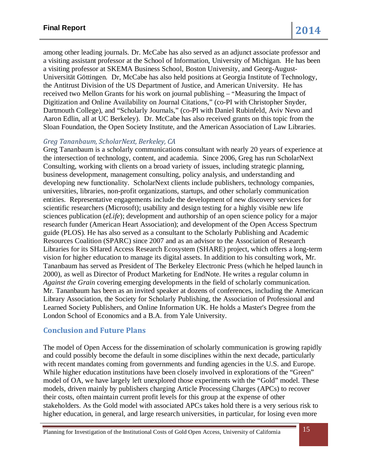among other leading journals. Dr. McCabe has also served as an adjunct associate professor and a visiting assistant professor at the School of Information, University of Michigan. He has been a visiting professor at SKEMA Business School, Boston University, and Georg-August-Universität Göttingen. Dr, McCabe has also held positions at Georgia Institute of Technology, the Antitrust Division of the US Department of Justice, and American University. He has received two Mellon Grants for his work on journal publishing – "Measuring the Impact of Digitization and Online Availability on Journal Citations," (co-PI with Christopher Snyder, Dartmouth College), and "Scholarly Journals," (co-PI with Daniel Rubinfeld, Aviv Nevo and Aaron Edlin, all at UC Berkeley). Dr. McCabe has also received grants on this topic from the Sloan Foundation, the Open Society Institute, and the American Association of Law Libraries.

#### *Greg Tananbaum, ScholarNext, Berkeley, CA*

Greg Tananbaum is a scholarly communications consultant with nearly 20 years of experience at the intersection of technology, content, and academia. Since 2006, Greg has run ScholarNext Consulting, working with clients on a broad variety of issues, including strategic planning, business development, management consulting, policy analysis, and understanding and developing new functionality. ScholarNext clients include publishers, technology companies, universities, libraries, non-profit organizations, startups, and other scholarly communication entities. Representative engagements include the development of new discovery services for scientific researchers (Microsoft); usability and design testing for a highly visible new life sciences publication (*eLife*); development and authorship of an open science policy for a major research funder (American Heart Association); and development of the Open Access Spectrum guide (PLOS). He has also served as a consultant to the Scholarly Publishing and Academic Resources Coalition (SPARC) since 2007 and as an advisor to the Association of Research Libraries for its SHared Access Research Ecosystem (SHARE) project, which offers a long-term vision for higher education to manage its digital assets. In addition to his consulting work, Mr. Tananbaum has served as President of The Berkeley Electronic Press (which he helped launch in 2000), as well as Director of Product Marketing for EndNote. He writes a regular column in *Against the Grain* covering emerging developments in the field of scholarly communication. Mr. Tananbaum has been as an invited speaker at dozens of conferences, including the American Library Association, the Society for Scholarly Publishing, the Association of Professional and Learned Society Publishers, and Online Information UK. He holds a Master's Degree from the London School of Economics and a B.A. from Yale University.

### **Conclusion and Future Plans**

The model of Open Access for the dissemination of scholarly communication is growing rapidly and could possibly become the default in some disciplines within the next decade, particularly with recent mandates coming from governments and funding agencies in the U.S. and Europe. While higher education institutions have been closely involved in explorations of the "Green" model of OA, we have largely left unexplored those experiments with the "Gold" model. These models, driven mainly by publishers charging Article Processing Charges (APCs) to recover their costs, often maintain current profit levels for this group at the expense of other stakeholders. As the Gold model with associated APCs takes hold there is a very serious risk to higher education, in general, and large research universities, in particular, for losing even more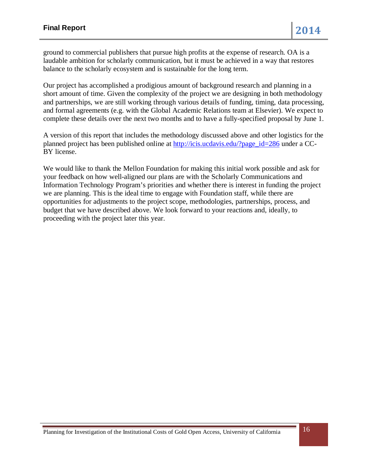ground to commercial publishers that pursue high profits at the expense of research. OA is a laudable ambition for scholarly communication, but it must be achieved in a way that restores balance to the scholarly ecosystem and is sustainable for the long term.

Our project has accomplished a prodigious amount of background research and planning in a short amount of time. Given the complexity of the project we are designing in both methodology and partnerships, we are still working through various details of funding, timing, data processing, and formal agreements (e.g. with the Global Academic Relations team at Elsevier). We expect to complete these details over the next two months and to have a fully-specified proposal by June 1.

A version of this report that includes the methodology discussed above and other logistics for the planned project has been published online at [http://icis.ucdavis.edu/?page\\_id=286](http://icis.ucdavis.edu/?page_id=286) under a CC-BY license.

We would like to thank the Mellon Foundation for making this initial work possible and ask for your feedback on how well-aligned our plans are with the Scholarly Communications and Information Technology Program's priorities and whether there is interest in funding the project we are planning. This is the ideal time to engage with Foundation staff, while there are opportunities for adjustments to the project scope, methodologies, partnerships, process, and budget that we have described above. We look forward to your reactions and, ideally, to proceeding with the project later this year.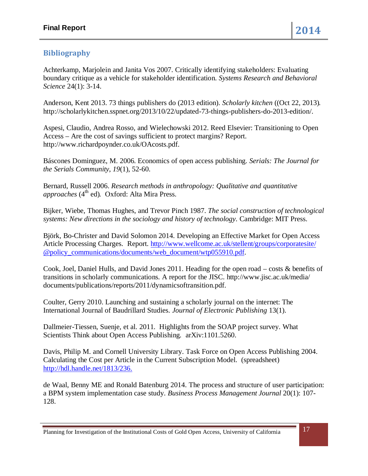# **Bibliography**

Achterkamp, Marjolein and Janita Vos 2007. Critically identifying stakeholders: Evaluating boundary critique as a vehicle for stakeholder identification. *Systems Research and Behavioral Science* 24(1): 3-14.

Anderson, Kent 2013. 73 things publishers do (2013 edition). *Scholarly kitchen* ((Oct 22, 2013)*.*  http://scholarlykitchen.sspnet.org/2013/10/22/updated-73-things-publishers-do-2013-edition/.

Aspesi, Claudio, Andrea Rosso, and Wielechowski 2012. Reed Elsevier: Transitioning to Open Access – Are the cost of savings sufficient to protect margins? Report. http://www.richardpoynder.co.uk/OAcosts.pdf.

Báscones Dominguez, M. 2006. Economics of open access publishing. *Serials: The Journal for the Serials Community*, *19*(1), 52-60.

Bernard, Russell 2006. *Research methods in anthropology: Qualitative and quantitative approaches* (4<sup>th</sup> ed). Oxford: Alta Mira Press.

Bijker, Wiebe, Thomas Hughes, and Trevor Pinch 1987. *The social construction of technological systems: New directions in the sociology and history of technology*. Cambridge: MIT Press.

Björk, Bo-Christer and David Solomon 2014. [Developing an Effective Market for Open Access](http://digital-scholarship.org/digitalkoans/2014/03/13/developing-an-effective-market-for-open-access-article-processing-charges/)  [Article Processing Charges.](http://digital-scholarship.org/digitalkoans/2014/03/13/developing-an-effective-market-for-open-access-article-processing-charges/) Report. [http://www.wellcome.ac.uk/stellent/groups/corporatesite/](http://www.wellcome.ac.uk/stellent/groups/corporatesite/%20@policy_communications/documents/web_document/wtp055910.pdf)  [@policy\\_communications/documents/web\\_document/wtp055910.pdf.](http://www.wellcome.ac.uk/stellent/groups/corporatesite/%20@policy_communications/documents/web_document/wtp055910.pdf)

Cook, Joel, Daniel Hulls, and David Jones 2011. Heading for the open road – costs & benefits of transitions in scholarly communications. A report for the JISC. http://www.jisc.ac.uk/media/ documents/publications/reports/2011/dynamicsoftransition.pdf.

Coulter, Gerry 2010. Launching and sustaining a scholarly journal on the internet: The International Journal of Baudrillard Studies. *Journal of Electronic Publishing* 13(1).

Dallmeier-Tiessen, Suenje, et al. 2011. Highlights from the SOAP project survey. What Scientists Think about Open Access Publishing*.* arXiv:1101.5260.

Davis, Philip M. and [Cornell University Library. Task Force on Open Access Publishing](http://dspace.library.cornell.edu/browse?type=author&value=Cornell+University+Library.+Task+Force++on+Open+Access+Publishing) 2004. Calculating the Cost per Article in the Current Subscription Model. (spreadsheet) [http://hdl.handle.net/1813/236.](http://hdl.handle.net/1813/236)

de Waal, Benny ME and Ronald Batenburg 2014. The process and structure of user participation: a BPM system implementation case study. *Business Process Management Journal* 20(1): 107- 128.

Planning for Investigation of the Institutional Costs of Gold Open Access, University of California 17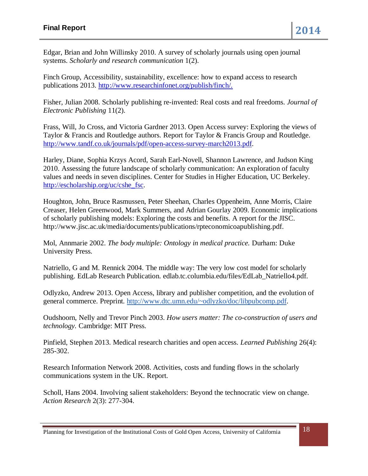Edgar, Brian and John Willinsky 2010. A survey of scholarly journals using open journal systems. *Scholarly and research communication* 1(2).

Finch Group, Accessibility, sustainability, excellence: how to expand access to research publications 2013. [http://www.researchinfonet.org/publish/finch/.](http://www.researchinfonet.org/publish/finch/)

Fisher, Julian 2008. Scholarly publishing re-invented: Real costs and real freedoms. *Journal of Electronic Publishing* 11(2).

Frass, Will, Jo Cross, and Victoria Gardner 2013. Open Access survey: Exploring the views of Taylor & Francis and Routledge authors. Report for Taylor & Francis Group and Routledge. [http://www.tandf.co.uk/journals/pdf/open-access-survey-march2013.pdf.](http://www.tandf.co.uk/journals/pdf/open-access-survey-march2013.pdf)

Harley, Diane, Sophia Krzys Acord, Sarah Earl-Novell, Shannon Lawrence, and Judson King 2010. Assessing the future landscape of scholarly communication: An exploration of faculty values and needs in seven disciplines. Center for Studies in Higher Education, UC Berkeley. [http://escholarship.org/uc/cshe\\_fsc.](http://escholarship.org/uc/cshe_fsc)

Houghton, John, Bruce Rasmussen, Peter Sheehan, Charles Oppenheim, Anne Morris, Claire Creaser, Helen Greenwood, Mark Summers, and Adrian Gourlay 2009. Economic implications of scholarly publishing models: Exploring the costs and benefits. A report for the JISC. http://www.jisc.ac.uk/media/documents/publications/rpteconomicoapublishing.pdf.

Mol, Annmarie 2002. *The body multiple: Ontology in medical practice.* Durham: Duke University Press.

Natriello, G and M. Rennick 2004. The middle way: The very low cost model for scholarly publishing. EdLab Research Publication. edlab.tc.columbia.edu/files/EdLab\_Natriello4.pdf.

Odlyzko, Andrew 2013. Open Access, library and publisher competition, and the evolution of general commerce. Preprint. [http://www.dtc.umn.edu/~odlyzko/doc/libpubcomp.pdf.](http://www.dtc.umn.edu/%7Eodlyzko/doc/libpubcomp.pdf)

Oudshoorn, Nelly and Trevor Pinch 2003. *How users matter: The co-construction of users and technology.* Cambridge: MIT Press.

Pinfield, Stephen 2013. Medical research charities and open access. *Learned Publishing* 26(4): 285-302.

Research Information Network 2008. Activities, costs and funding flows in the scholarly communications system in the UK. Report.

Scholl, Hans 2004. Involving salient stakeholders: Beyond the technocratic view on change. *Action Research* 2(3): 277-304.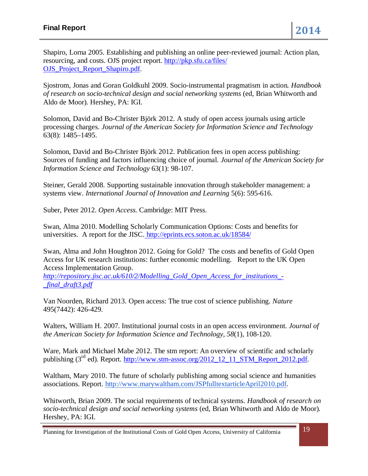Shapiro, Lorna 2005. Establishing and publishing an online peer-reviewed journal: Action plan, resourcing, and costs. OJS project report. [http://pkp.sfu.ca/files/](http://pkp.sfu.ca/files/%20OJS_Project_Report_Shapiro.pdf)  OJS Project Report Shapiro.pdf.

Sjostrom, Jonas and Goran Goldkuhl 2009. Socio-instrumental pragmatism in action*. Handbook of research on socio-technical design and social networking systems* (ed, Brian Whitworth and Aldo de Moor)*.* Hershey, PA: IGI.

Solomon, David and Bo-Christer Björk 2012. A study of open access journals using article processing charges. *Journal of the American Society for Information Science and Technology* 63(8): 1485–1495.

Solomon, David and Bo-Christer Björk 2012. Publication fees in open access publishing: Sources of funding and factors influencing choice of journal. *Journal of the American Society for Information Science and Technology* 63(1): 98-107.

Steiner, Gerald 2008. Supporting sustainable innovation through stakeholder management: a systems view. *International Journal of Innovation and Learning* 5(6): 595-616.

Suber, Peter 2012. *Open Access.* Cambridge: MIT Press.

Swan, Alma 2010. Modelling Scholarly Communication Options: Costs and benefits for universities. A report for the JISC. <http://eprints.ecs.soton.ac.uk/18584/>

Swan, [Alma and John Houghton](http://eprints.ecs.soton.ac.uk/18584/) 2012. [Going for Gold? The costs and benefits of Gold Open](http://eprints.ecs.soton.ac.uk/18584/)  [Access for UK research institutions: further economic modelling. Report to the UK Open](http://eprints.ecs.soton.ac.uk/18584/)  [Access Implementation Group.](http://eprints.ecs.soton.ac.uk/18584/) 

*[http://repository.jisc.ac.uk/610/2/Modelling\\_Gold\\_Open\\_Access\\_for\\_institutions\\_-](http://repository.jisc.ac.uk/610/2/Modelling_Gold_Open_Access_for_institutions_-_final_draft3.pdf) [\\_final\\_draft3.pdf](http://repository.jisc.ac.uk/610/2/Modelling_Gold_Open_Access_for_institutions_-_final_draft3.pdf)*

Van Noorden, Richard 2013. Open access: The true cost of science publishing. *Nature*  495(7442): 426-429*.* 

Walters, William H. 2007. Institutional journal costs in an open access environment. *Journal of the American Society for Information Science and Technology*, *58*(1), 108-120.

Ware, Mark and Michael Mabe 2012. The stm report: An overview of scientific and scholarly publishing (3<sup>rd</sup> ed). Report. [http://www.stm-assoc.org/2012\\_12\\_11\\_STM\\_Report\\_2012.pdf.](http://www.stm-assoc.org/2012_12_11_STM_Report_2012.pdf)

Waltham, Mary 2010. The future of scholarly publishing among social science and humanities associations. Report. [http://www.marywaltham.com/JSPfulltextarticleApril2010.pdf.](http://www.marywaltham.com/JSPfulltextarticleApril2010.pdf)

Whitworth, Brian 2009. The social requirements of technical systems. *Handbook of research on socio-technical design and social networking systems* (ed, Brian Whitworth and Aldo de Moor)*.* Hershey, PA: IGI.

Planning for Investigation of the Institutional Costs of Gold Open Access, University of California 19